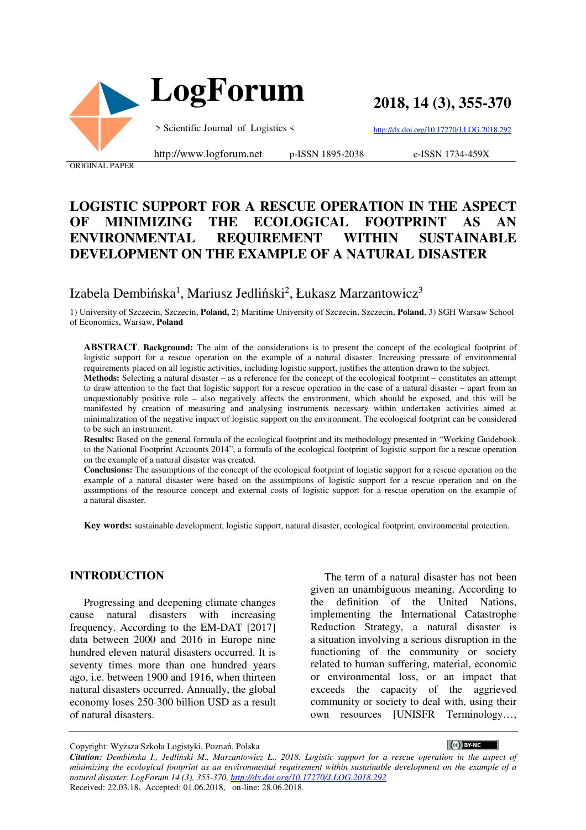

**2018, 14 (3), 355-370**

> Scientific Journal of Logistics <

http://www.logforum.net p-ISSN 1895-2038

http://dx.doi.org/10.17270/J.LOG.2018.292 e-ISSN 1734-459X

ORIGINAL PAPER

### **LOGISTIC SUPPORT FOR A RESCUE OPERATION IN THE ASPECT OF MINIMIZING THE ECOLOGICAL FOOTPRINT AS AN ENVIRONMENTAL REQUIREMENT WITHIN SUSTAINABLE DEVELOPMENT ON THE EXAMPLE OF A NATURAL DISASTER**

Izabela Dembińska<sup>1</sup>, Mariusz Jedliński<sup>2</sup>, Łukasz Marzantowicz<sup>3</sup>

1) University of Szczecin, Szczecin, **Poland,** 2) Maritime University of Szczecin, Szczecin, **Poland**, 3) SGH Warsaw School of Economics, Warsaw, **Poland**

**ABSTRACT**. **Background:** The aim of the considerations is to present the concept of the ecological footprint of logistic support for a rescue operation on the example of a natural disaster. Increasing pressure of environmental requirements placed on all logistic activities, including logistic support, justifies the attention drawn to the subject.

**Methods:** Selecting a natural disaster – as a reference for the concept of the ecological footprint – constitutes an attempt to draw attention to the fact that logistic support for a rescue operation in the case of a natural disaster – apart from an unquestionably positive role – also negatively affects the environment, which should be exposed, and this will be manifested by creation of measuring and analysing instruments necessary within undertaken activities aimed at minimalization of the negative impact of logistic support on the environment. The ecological footprint can be considered to be such an instrument.

**Results:** Based on the general formula of the ecological footprint and its methodology presented in "Working Guidebook to the National Footprint Accounts 2014", a formula of the ecological footprint of logistic support for a rescue operation on the example of a natural disaster was created.

**Conclusions:** The assumptions of the concept of the ecological footprint of logistic support for a rescue operation on the example of a natural disaster were based on the assumptions of logistic support for a rescue operation and on the assumptions of the resource concept and external costs of logistic support for a rescue operation on the example of a natural disaster.

**Key words:** sustainable development, logistic support, natural disaster, ecological footprint, environmental protection.

#### **INTRODUCTION**

Progressing and deepening climate changes cause natural disasters with increasing frequency. According to the EM-DAT [2017] data between 2000 and 2016 in Europe nine hundred eleven natural disasters occurred. It is seventy times more than one hundred years ago, i.e. between 1900 and 1916, when thirteen natural disasters occurred. Annually, the global economy loses 250-300 billion USD as a result of natural disasters.

The term of a natural disaster has not been given an unambiguous meaning. According to the definition of the United Nations, implementing the International Catastrophe Reduction Strategy, a natural disaster is a situation involving a serious disruption in the functioning of the community or society related to human suffering, material, economic or environmental loss, or an impact that exceeds the capacity of the aggrieved community or society to deal with, using their own resources [UNISFR Terminology…,

CC BY-NC

Copyright: Wyższa Szkoła Logistyki, Poznań, Polska

*Citation: Dembińska I., Jedliński M., Marzantowicz Ł., 2018. Logistic support for a rescue operation in the aspect of minimizing the ecological footprint as an environmental requirement within sustainable development on the example of a natural disaster. LogForum 14 (3), 355-370, http://dx.doi.org/10.17270/J.LOG.2018.292*  Received: 22.03.18, Accepted: 01.06.2018, on-line: 28.06.2018.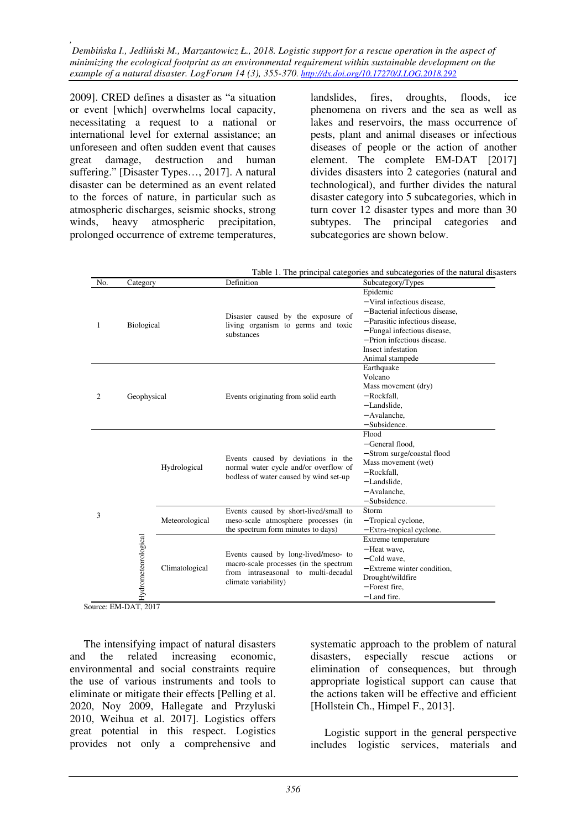2009]. CRED defines a disaster as "a situation or event [which] overwhelms local capacity, necessitating a request to a national or international level for external assistance; an unforeseen and often sudden event that causes great damage, destruction and human suffering." [Disaster Types…, 2017]. A natural disaster can be determined as an event related to the forces of nature, in particular such as atmospheric discharges, seismic shocks, strong winds, heavy atmospheric precipitation, prolonged occurrence of extreme temperatures, landslides, fires, droughts, floods, ice phenomena on rivers and the sea as well as lakes and reservoirs, the mass occurrence of pests, plant and animal diseases or infectious diseases of people or the action of another element. The complete EM-DAT [2017] divides disasters into 2 categories (natural and technological), and further divides the natural disaster category into 5 subcategories, which in turn cover 12 disaster types and more than 30 subtypes. The principal categories and subcategories are shown below.

|  | Table 1. The principal categories and subcategories of the natural disasters |  |
|--|------------------------------------------------------------------------------|--|
|  |                                                                              |  |

| No. | Category            |                | Definition                                                                                                                                    | Subcategory/Types                                                                                                                                                                                                     |
|-----|---------------------|----------------|-----------------------------------------------------------------------------------------------------------------------------------------------|-----------------------------------------------------------------------------------------------------------------------------------------------------------------------------------------------------------------------|
| 1   | <b>Biological</b>   |                | Disaster caused by the exposure of<br>living organism to germs and toxic<br>substances                                                        | Epidemic<br>- Viral infectious disease,<br>- Bacterial infectious disease.<br>- Parasitic infectious disease.<br>- Fungal infectious disease,<br>- Prion infectious disease.<br>Insect infestation<br>Animal stampede |
| 2   | Geophysical         |                | Events originating from solid earth                                                                                                           | Earthquake<br>Volcano<br>Mass movement (dry)<br>- Rockfall.<br>- Landslide,<br>- Avalanche,<br>$-$ Subsidence.                                                                                                        |
| 3   |                     | Hydrological   | Events caused by deviations in the<br>normal water cycle and/or overflow of<br>bodless of water caused by wind set-up                         | Flood<br>- General flood.<br>- Strom surge/coastal flood<br>Mass movement (wet)<br>- Rockfall.<br>- Landslide.<br>- Avalanche.<br>$-$ Subsidence.                                                                     |
|     | Hydrometeorological | Meteorological | Events caused by short-lived/small to<br>meso-scale atmosphere processes (in<br>the spectrum form minutes to days)                            | Storm<br>- Tropical cyclone,<br>- Extra-tropical cyclone.                                                                                                                                                             |
|     |                     | Climatological | Events caused by long-lived/meso- to<br>macro-scale processes (in the spectrum<br>from intraseasonal to multi-decadal<br>climate variability) | Extreme temperature<br>- Heat wave.<br>$-$ Cold wave.<br>$-$ Extreme winter condition.<br>Drought/wildfire<br>- Forest fire.<br>$-$ Land fire.                                                                        |

Source: EM-DAT, 2017

The intensifying impact of natural disasters and the related increasing economic, environmental and social constraints require the use of various instruments and tools to eliminate or mitigate their effects [Pelling et al. 2020, Noy 2009, Hallegate and Przyluski 2010, Weihua et al. 2017]. Logistics offers great potential in this respect. Logistics provides not only a comprehensive and systematic approach to the problem of natural disasters, especially rescue actions or elimination of consequences, but through appropriate logistical support can cause that the actions taken will be effective and efficient [Hollstein Ch., Himpel F., 2013].

Logistic support in the general perspective includes logistic services, materials and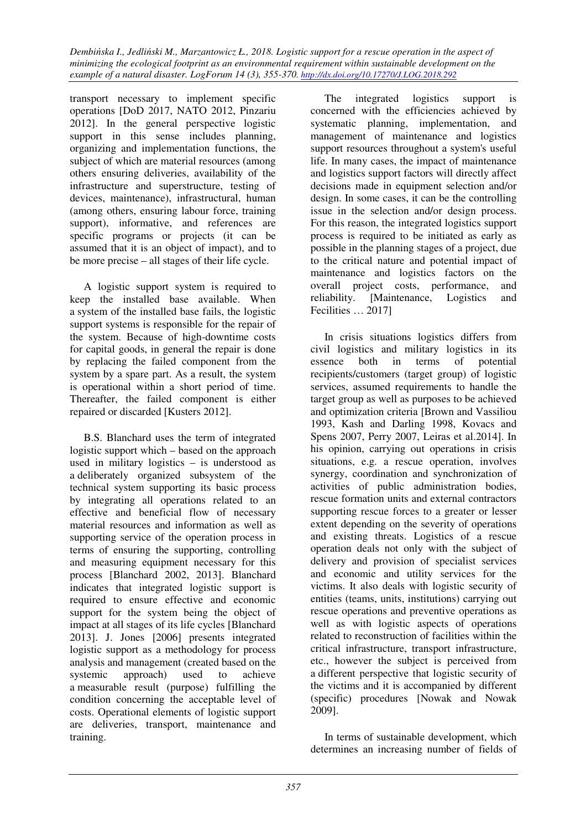transport necessary to implement specific operations [DoD 2017, NATO 2012, Pinzariu 2012]. In the general perspective logistic support in this sense includes planning, organizing and implementation functions, the subject of which are material resources (among others ensuring deliveries, availability of the infrastructure and superstructure, testing of devices, maintenance), infrastructural, human (among others, ensuring labour force, training support), informative, and references are specific programs or projects (it can be assumed that it is an object of impact), and to be more precise – all stages of their life cycle.

A logistic support system is required to keep the installed base available. When a system of the installed base fails, the logistic support systems is responsible for the repair of the system. Because of high-downtime costs for capital goods, in general the repair is done by replacing the failed component from the system by a spare part. As a result, the system is operational within a short period of time. Thereafter, the failed component is either repaired or discarded [Kusters 2012].

B.S. Blanchard uses the term of integrated logistic support which – based on the approach used in military logistics – is understood as a deliberately organized subsystem of the technical system supporting its basic process by integrating all operations related to an effective and beneficial flow of necessary material resources and information as well as supporting service of the operation process in terms of ensuring the supporting, controlling and measuring equipment necessary for this process [Blanchard 2002, 2013]. Blanchard indicates that integrated logistic support is required to ensure effective and economic support for the system being the object of impact at all stages of its life cycles [Blanchard 2013]. J. Jones [2006] presents integrated logistic support as a methodology for process analysis and management (created based on the systemic approach) used to achieve a measurable result (purpose) fulfilling the condition concerning the acceptable level of costs. Operational elements of logistic support are deliveries, transport, maintenance and training.

The integrated logistics support is concerned with the efficiencies achieved by systematic planning, implementation, and management of maintenance and logistics support resources throughout a system's useful life. In many cases, the impact of maintenance and logistics support factors will directly affect decisions made in equipment selection and/or design. In some cases, it can be the controlling issue in the selection and/or design process. For this reason, the integrated logistics support process is required to be initiated as early as possible in the planning stages of a project, due to the critical nature and potential impact of maintenance and logistics factors on the overall project costs, performance, and reliability. [Maintenance, Logistics and Fecilities … 2017]

In crisis situations logistics differs from civil logistics and military logistics in its essence both in terms of potential recipients/customers (target group) of logistic services, assumed requirements to handle the target group as well as purposes to be achieved and optimization criteria [Brown and Vassiliou 1993, Kash and Darling 1998, Kovacs and Spens 2007, Perry 2007, Leiras et al.2014]. In his opinion, carrying out operations in crisis situations, e.g. a rescue operation, involves synergy, coordination and synchronization of activities of public administration bodies, rescue formation units and external contractors supporting rescue forces to a greater or lesser extent depending on the severity of operations and existing threats. Logistics of a rescue operation deals not only with the subject of delivery and provision of specialist services and economic and utility services for the victims. It also deals with logistic security of entities (teams, units, institutions) carrying out rescue operations and preventive operations as well as with logistic aspects of operations related to reconstruction of facilities within the critical infrastructure, transport infrastructure, etc., however the subject is perceived from a different perspective that logistic security of the victims and it is accompanied by different (specific) procedures [Nowak and Nowak 2009].

In terms of sustainable development, which determines an increasing number of fields of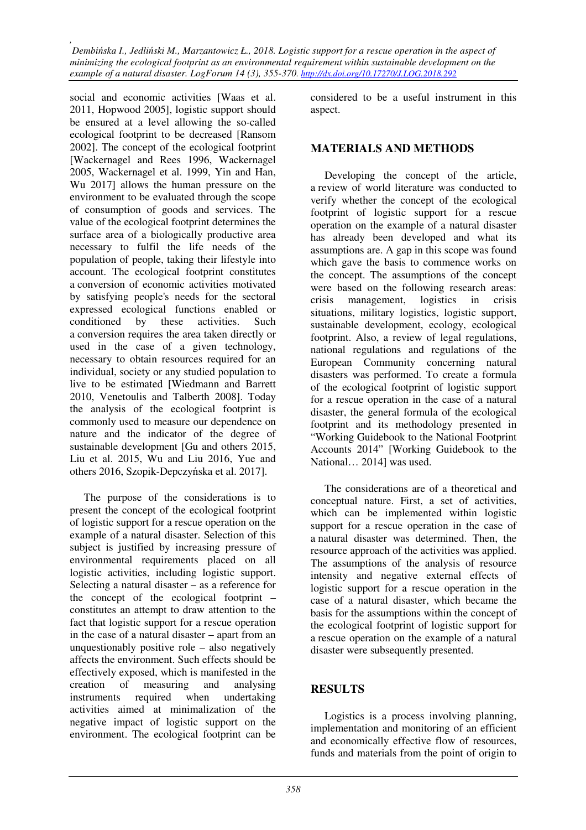social and economic activities [Waas et al. 2011, Hopwood 2005], logistic support should be ensured at a level allowing the so-called ecological footprint to be decreased [Ransom 2002]. The concept of the ecological footprint [Wackernagel and Rees 1996, Wackernagel 2005, Wackernagel et al. 1999, Yin and Han, Wu 2017] allows the human pressure on the environment to be evaluated through the scope of consumption of goods and services. The value of the ecological footprint determines the surface area of a biologically productive area necessary to fulfil the life needs of the population of people, taking their lifestyle into account. The ecological footprint constitutes a conversion of economic activities motivated by satisfying people's needs for the sectoral expressed ecological functions enabled or conditioned by these activities. Such a conversion requires the area taken directly or used in the case of a given technology, necessary to obtain resources required for an individual, society or any studied population to live to be estimated [Wiedmann and Barrett 2010, Venetoulis and Talberth 2008]. Today the analysis of the ecological footprint is commonly used to measure our dependence on nature and the indicator of the degree of sustainable development [Gu and others 2015, Liu et al. 2015, Wu and Liu 2016, Yue and others 2016, Szopik-Depczyńska et al. 2017].

The purpose of the considerations is to present the concept of the ecological footprint of logistic support for a rescue operation on the example of a natural disaster. Selection of this subject is justified by increasing pressure of environmental requirements placed on all logistic activities, including logistic support. Selecting a natural disaster – as a reference for the concept of the ecological footprint – constitutes an attempt to draw attention to the fact that logistic support for a rescue operation in the case of a natural disaster – apart from an unquestionably positive role – also negatively affects the environment. Such effects should be effectively exposed, which is manifested in the creation of measuring and analysing instruments required when undertaking activities aimed at minimalization of the negative impact of logistic support on the environment. The ecological footprint can be

considered to be a useful instrument in this aspect.

### **MATERIALS AND METHODS**

Developing the concept of the article, a review of world literature was conducted to verify whether the concept of the ecological footprint of logistic support for a rescue operation on the example of a natural disaster has already been developed and what its assumptions are. A gap in this scope was found which gave the basis to commence works on the concept. The assumptions of the concept were based on the following research areas: crisis management, logistics in crisis situations, military logistics, logistic support, sustainable development, ecology, ecological footprint. Also, a review of legal regulations, national regulations and regulations of the European Community concerning natural disasters was performed. To create a formula of the ecological footprint of logistic support for a rescue operation in the case of a natural disaster, the general formula of the ecological footprint and its methodology presented in "Working Guidebook to the National Footprint Accounts 2014" [Working Guidebook to the National… 2014] was used.

The considerations are of a theoretical and conceptual nature. First, a set of activities, which can be implemented within logistic support for a rescue operation in the case of a natural disaster was determined. Then, the resource approach of the activities was applied. The assumptions of the analysis of resource intensity and negative external effects of logistic support for a rescue operation in the case of a natural disaster, which became the basis for the assumptions within the concept of the ecological footprint of logistic support for a rescue operation on the example of a natural disaster were subsequently presented.

#### **RESULTS**

Logistics is a process involving planning, implementation and monitoring of an efficient and economically effective flow of resources, funds and materials from the point of origin to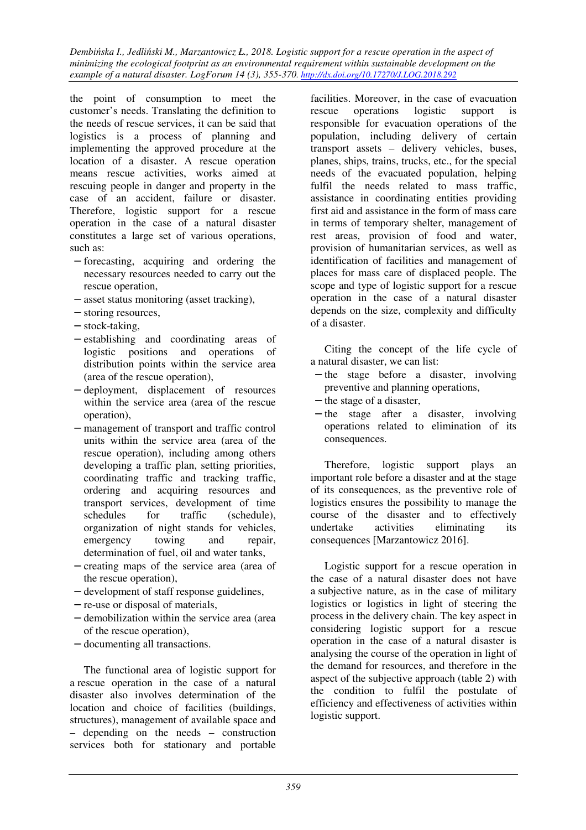the point of consumption to meet the customer's needs. Translating the definition to the needs of rescue services, it can be said that logistics is a process of planning and implementing the approved procedure at the location of a disaster. A rescue operation means rescue activities, works aimed at rescuing people in danger and property in the case of an accident, failure or disaster. Therefore, logistic support for a rescue operation in the case of a natural disaster constitutes a large set of various operations, such as:

- − forecasting, acquiring and ordering the necessary resources needed to carry out the rescue operation,
- − asset status monitoring (asset tracking),
- − storing resources,
- − stock-taking,
- − establishing and coordinating areas of logistic positions and operations of distribution points within the service area (area of the rescue operation),
- − deployment, displacement of resources within the service area (area of the rescue operation),
- − management of transport and traffic control units within the service area (area of the rescue operation), including among others developing a traffic plan, setting priorities, coordinating traffic and tracking traffic, ordering and acquiring resources and transport services, development of time schedules for traffic (schedule), organization of night stands for vehicles, emergency towing and repair, determination of fuel, oil and water tanks,
- − creating maps of the service area (area of the rescue operation),
- − development of staff response guidelines,
- − re-use or disposal of materials,
- − demobilization within the service area (area of the rescue operation),
- − documenting all transactions.

The functional area of logistic support for a rescue operation in the case of a natural disaster also involves determination of the location and choice of facilities (buildings, structures), management of available space and – depending on the needs – construction services both for stationary and portable

facilities. Moreover, in the case of evacuation rescue operations logistic support is responsible for evacuation operations of the population, including delivery of certain transport assets – delivery vehicles, buses, planes, ships, trains, trucks, etc., for the special needs of the evacuated population, helping fulfil the needs related to mass traffic, assistance in coordinating entities providing first aid and assistance in the form of mass care in terms of temporary shelter, management of rest areas, provision of food and water, provision of humanitarian services, as well as identification of facilities and management of places for mass care of displaced people. The scope and type of logistic support for a rescue operation in the case of a natural disaster depends on the size, complexity and difficulty of a disaster.

Citing the concept of the life cycle of a natural disaster, we can list:

- − the stage before a disaster, involving preventive and planning operations,
- − the stage of a disaster,
- − the stage after a disaster, involving operations related to elimination of its consequences.

Therefore, logistic support plays an important role before a disaster and at the stage of its consequences, as the preventive role of logistics ensures the possibility to manage the course of the disaster and to effectively undertake activities eliminating its consequences [Marzantowicz 2016].

Logistic support for a rescue operation in the case of a natural disaster does not have a subjective nature, as in the case of military logistics or logistics in light of steering the process in the delivery chain. The key aspect in considering logistic support for a rescue operation in the case of a natural disaster is analysing the course of the operation in light of the demand for resources, and therefore in the aspect of the subjective approach (table 2) with the condition to fulfil the postulate of efficiency and effectiveness of activities within logistic support.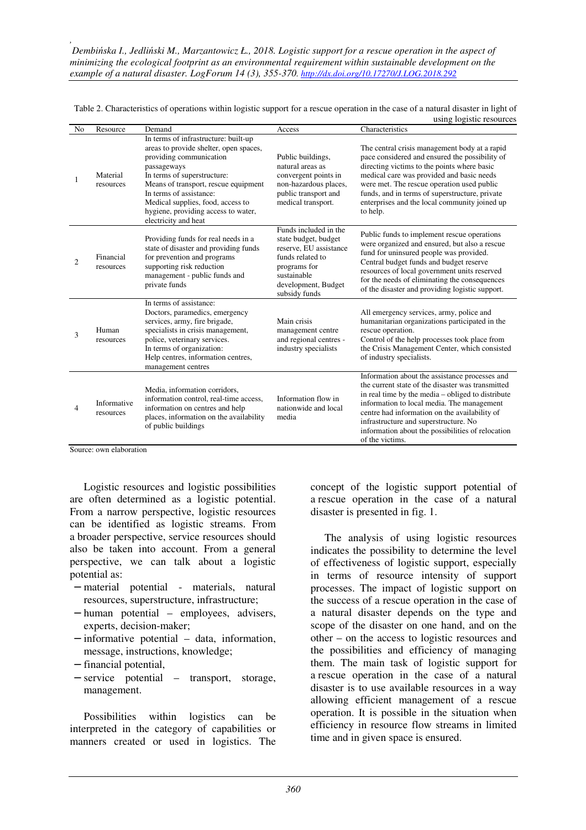|                |                          |                                                                                                                                                                                                                                                                                                                                |                                                                                                                                                                    | using logistic resources                                                                                                                                                                                                                                                                                                                                                 |
|----------------|--------------------------|--------------------------------------------------------------------------------------------------------------------------------------------------------------------------------------------------------------------------------------------------------------------------------------------------------------------------------|--------------------------------------------------------------------------------------------------------------------------------------------------------------------|--------------------------------------------------------------------------------------------------------------------------------------------------------------------------------------------------------------------------------------------------------------------------------------------------------------------------------------------------------------------------|
| N <sub>0</sub> | Resource                 | Demand                                                                                                                                                                                                                                                                                                                         | Access                                                                                                                                                             | Characteristics                                                                                                                                                                                                                                                                                                                                                          |
| 1              | Material<br>resources    | In terms of infrastructure: built-up<br>areas to provide shelter, open spaces,<br>providing communication<br>passageways<br>In terms of superstructure:<br>Means of transport, rescue equipment<br>In terms of assistance:<br>Medical supplies, food, access to<br>hygiene, providing access to water,<br>electricity and heat | Public buildings,<br>natural areas as<br>convergent points in<br>non-hazardous places,<br>public transport and<br>medical transport.                               | The central crisis management body at a rapid<br>pace considered and ensured the possibility of<br>directing victims to the points where basic<br>medical care was provided and basic needs<br>were met. The rescue operation used public<br>funds, and in terms of superstructure, private<br>enterprises and the local community joined up<br>to help.                 |
| $\overline{c}$ | Financial<br>resources   | Providing funds for real needs in a<br>state of disaster and providing funds<br>for prevention and programs<br>supporting risk reduction<br>management - public funds and<br>private funds                                                                                                                                     | Funds included in the<br>state budget, budget<br>reserve, EU assistance<br>funds related to<br>programs for<br>sustainable<br>development, Budget<br>subsidy funds | Public funds to implement rescue operations<br>were organized and ensured, but also a rescue<br>fund for uninsured people was provided.<br>Central budget funds and budget reserve<br>resources of local government units reserved<br>for the needs of eliminating the consequences<br>of the disaster and providing logistic support.                                   |
| 3              | Human<br>resources       | In terms of assistance:<br>Doctors, paramedics, emergency<br>services, army, fire brigade,<br>specialists in crisis management,<br>police, veterinary services.<br>In terms of organization:<br>Help centres, information centres,<br>management centres                                                                       | Main crisis<br>management centre<br>and regional centres -<br>industry specialists                                                                                 | All emergency services, army, police and<br>humanitarian organizations participated in the<br>rescue operation.<br>Control of the help processes took place from<br>the Crisis Management Center, which consisted<br>of industry specialists.                                                                                                                            |
| 4              | Informative<br>resources | Media, information corridors,<br>information control, real-time access,<br>information on centres and help<br>places, information on the availability<br>of public buildings                                                                                                                                                   | Information flow in<br>nationwide and local<br>media                                                                                                               | Information about the assistance processes and<br>the current state of the disaster was transmitted<br>in real time by the media - obliged to distribute<br>information to local media. The management<br>centre had information on the availability of<br>infrastructure and superstructure. No<br>information about the possibilities of relocation<br>of the victims. |

Table 2. Characteristics of operations within logistic support for a rescue operation in the case of a natural disaster in light of

Source: own elaboration

Logistic resources and logistic possibilities are often determined as a logistic potential. From a narrow perspective, logistic resources can be identified as logistic streams. From a broader perspective, service resources should also be taken into account. From a general perspective, we can talk about a logistic potential as:

- − material potential materials, natural resources, superstructure, infrastructure;
- − human potential employees, advisers, experts, decision-maker;
- − informative potential data, information, message, instructions, knowledge;
- − financial potential,
- − service potential transport, storage, management.

Possibilities within logistics can be interpreted in the category of capabilities or manners created or used in logistics. The concept of the logistic support potential of a rescue operation in the case of a natural disaster is presented in fig. 1.

The analysis of using logistic resources indicates the possibility to determine the level of effectiveness of logistic support, especially in terms of resource intensity of support processes. The impact of logistic support on the success of a rescue operation in the case of a natural disaster depends on the type and scope of the disaster on one hand, and on the other – on the access to logistic resources and the possibilities and efficiency of managing them. The main task of logistic support for a rescue operation in the case of a natural disaster is to use available resources in a way allowing efficient management of a rescue operation. It is possible in the situation when efficiency in resource flow streams in limited time and in given space is ensured.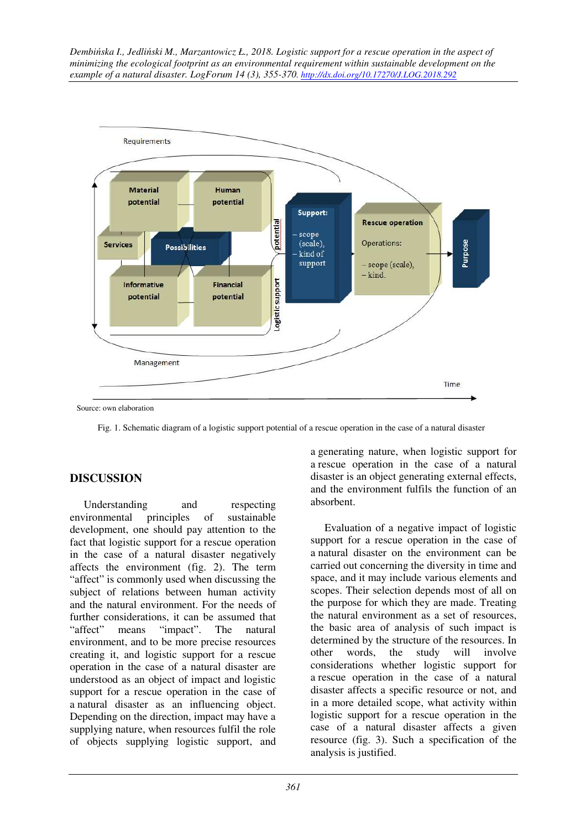

Fig. 1. Schematic diagram of a logistic support potential of a rescue operation in the case of a natural disaster

### **DISCUSSION**

Understanding and respecting environmental principles of sustainable development, one should pay attention to the fact that logistic support for a rescue operation in the case of a natural disaster negatively affects the environment (fig. 2). The term "affect" is commonly used when discussing the subject of relations between human activity and the natural environment. For the needs of further considerations, it can be assumed that "affect" means "impact". The natural environment, and to be more precise resources creating it, and logistic support for a rescue operation in the case of a natural disaster are understood as an object of impact and logistic support for a rescue operation in the case of a natural disaster as an influencing object. Depending on the direction, impact may have a supplying nature, when resources fulfil the role of objects supplying logistic support, and a generating nature, when logistic support for a rescue operation in the case of a natural disaster is an object generating external effects, and the environment fulfils the function of an absorbent.

Evaluation of a negative impact of logistic support for a rescue operation in the case of a natural disaster on the environment can be carried out concerning the diversity in time and space, and it may include various elements and scopes. Their selection depends most of all on the purpose for which they are made. Treating the natural environment as a set of resources, the basic area of analysis of such impact is determined by the structure of the resources. In other words, the study will involve considerations whether logistic support for a rescue operation in the case of a natural disaster affects a specific resource or not, and in a more detailed scope, what activity within logistic support for a rescue operation in the case of a natural disaster affects a given resource (fig. 3). Such a specification of the analysis is justified.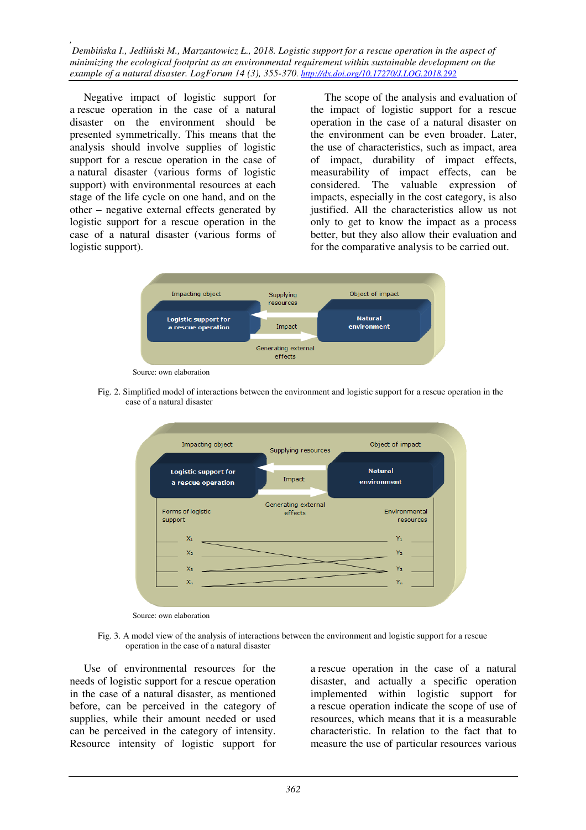Negative impact of logistic support for a rescue operation in the case of a natural disaster on the environment should be presented symmetrically. This means that the analysis should involve supplies of logistic support for a rescue operation in the case of a natural disaster (various forms of logistic support) with environmental resources at each stage of the life cycle on one hand, and on the other – negative external effects generated by logistic support for a rescue operation in the case of a natural disaster (various forms of logistic support).

The scope of the analysis and evaluation of the impact of logistic support for a rescue operation in the case of a natural disaster on the environment can be even broader. Later, the use of characteristics, such as impact, area of impact, durability of impact effects, measurability of impact effects, can be considered. The valuable expression of impacts, especially in the cost category, is also justified. All the characteristics allow us not only to get to know the impact as a process better, but they also allow their evaluation and for the comparative analysis to be carried out.



Source: own elaboration

 Fig. 2. Simplified model of interactions between the environment and logistic support for a rescue operation in the case of a natural disaster



Source: own elaboration

 Fig. 3. A model view of the analysis of interactions between the environment and logistic support for a rescue operation in the case of a natural disaster

Use of environmental resources for the needs of logistic support for a rescue operation in the case of a natural disaster, as mentioned before, can be perceived in the category of supplies, while their amount needed or used can be perceived in the category of intensity. Resource intensity of logistic support for

a rescue operation in the case of a natural disaster, and actually a specific operation implemented within logistic support for a rescue operation indicate the scope of use of resources, which means that it is a measurable characteristic. In relation to the fact that to measure the use of particular resources various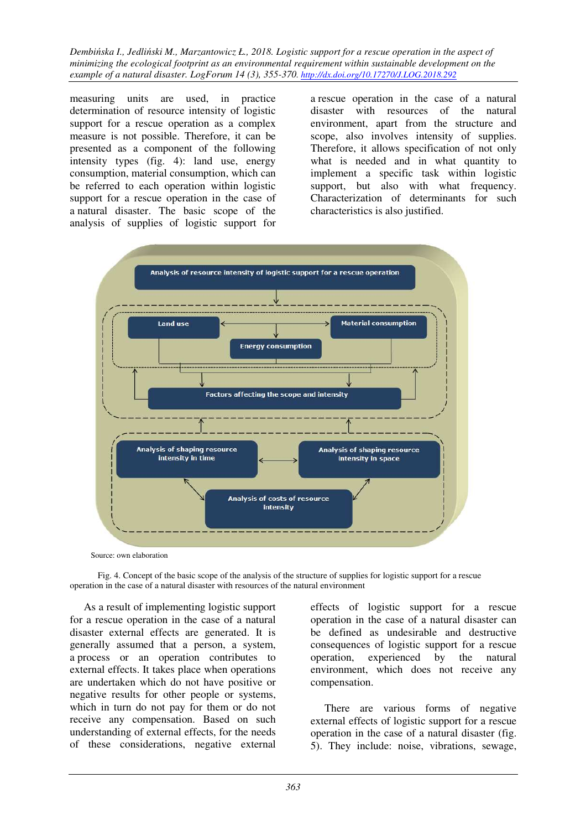measuring units are used, in practice determination of resource intensity of logistic support for a rescue operation as a complex measure is not possible. Therefore, it can be presented as a component of the following intensity types (fig. 4): land use, energy consumption, material consumption, which can be referred to each operation within logistic support for a rescue operation in the case of a natural disaster. The basic scope of the analysis of supplies of logistic support for

a rescue operation in the case of a natural disaster with resources of the natural environment, apart from the structure and scope, also involves intensity of supplies. Therefore, it allows specification of not only what is needed and in what quantity to implement a specific task within logistic support, but also with what frequency. Characterization of determinants for such characteristics is also justified.



Source: own elaboration

 Fig. 4. Concept of the basic scope of the analysis of the structure of supplies for logistic support for a rescue operation in the case of a natural disaster with resources of the natural environment

As a result of implementing logistic support for a rescue operation in the case of a natural disaster external effects are generated. It is generally assumed that a person, a system, a process or an operation contributes to external effects. It takes place when operations are undertaken which do not have positive or negative results for other people or systems, which in turn do not pay for them or do not receive any compensation. Based on such understanding of external effects, for the needs of these considerations, negative external

effects of logistic support for a rescue operation in the case of a natural disaster can be defined as undesirable and destructive consequences of logistic support for a rescue operation, experienced by the natural environment, which does not receive any compensation.

There are various forms of negative external effects of logistic support for a rescue operation in the case of a natural disaster (fig. 5). They include: noise, vibrations, sewage,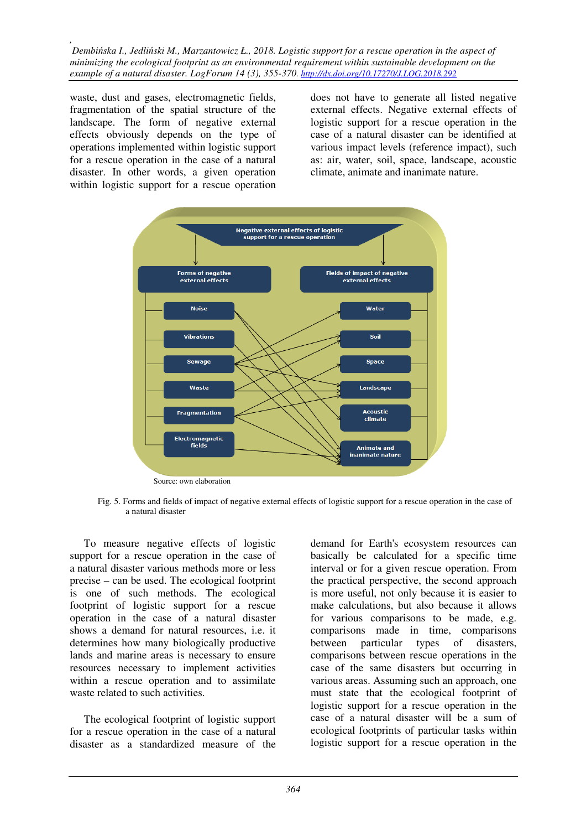waste, dust and gases, electromagnetic fields, fragmentation of the spatial structure of the landscape. The form of negative external effects obviously depends on the type of operations implemented within logistic support for a rescue operation in the case of a natural disaster. In other words, a given operation within logistic support for a rescue operation

does not have to generate all listed negative external effects. Negative external effects of logistic support for a rescue operation in the case of a natural disaster can be identified at various impact levels (reference impact), such as: air, water, soil, space, landscape, acoustic climate, animate and inanimate nature.



 Fig. 5. Forms and fields of impact of negative external effects of logistic support for a rescue operation in the case of a natural disaster

To measure negative effects of logistic support for a rescue operation in the case of a natural disaster various methods more or less precise – can be used. The ecological footprint is one of such methods. The ecological footprint of logistic support for a rescue operation in the case of a natural disaster shows a demand for natural resources, i.e. it determines how many biologically productive lands and marine areas is necessary to ensure resources necessary to implement activities within a rescue operation and to assimilate waste related to such activities.

The ecological footprint of logistic support for a rescue operation in the case of a natural disaster as a standardized measure of the

demand for Earth's ecosystem resources can basically be calculated for a specific time interval or for a given rescue operation. From the practical perspective, the second approach is more useful, not only because it is easier to make calculations, but also because it allows for various comparisons to be made, e.g. comparisons made in time, comparisons between particular types of disasters, comparisons between rescue operations in the case of the same disasters but occurring in various areas. Assuming such an approach, one must state that the ecological footprint of logistic support for a rescue operation in the case of a natural disaster will be a sum of ecological footprints of particular tasks within logistic support for a rescue operation in the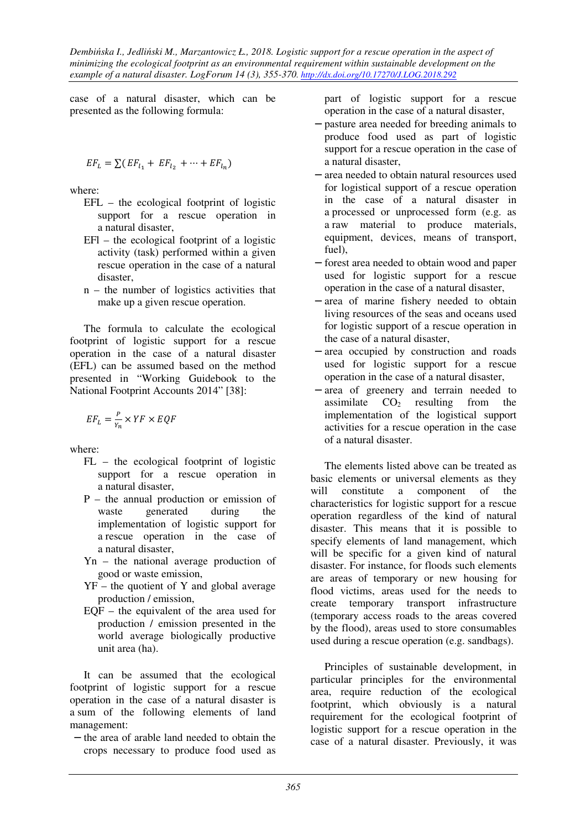case of a natural disaster, which can be presented as the following formula:

$$
EF_L = \sum (EF_{l_1} + EF_{l_2} + \dots + EF_{l_n})
$$

where:

- EFL the ecological footprint of logistic support for a rescue operation in a natural disaster,
- EFl the ecological footprint of a logistic activity (task) performed within a given rescue operation in the case of a natural disaster,
- n the number of logistics activities that make up a given rescue operation.

The formula to calculate the ecological footprint of logistic support for a rescue operation in the case of a natural disaster (EFL) can be assumed based on the method presented in "Working Guidebook to the National Footprint Accounts 2014" [38]:

$$
EF_L = \frac{P}{Y_n} \times YF \times EQF
$$

where:

- FL the ecological footprint of logistic support for a rescue operation in a natural disaster,
- P the annual production or emission of waste generated during the implementation of logistic support for a rescue operation in the case of a natural disaster,
- Yn the national average production of good or waste emission,
- YF the quotient of Y and global average production / emission,
- $EOF -$  the equivalent of the area used for production / emission presented in the world average biologically productive unit area (ha).

It can be assumed that the ecological footprint of logistic support for a rescue operation in the case of a natural disaster is a sum of the following elements of land management:

− the area of arable land needed to obtain the crops necessary to produce food used as

part of logistic support for a rescue operation in the case of a natural disaster,

- − pasture area needed for breeding animals to produce food used as part of logistic support for a rescue operation in the case of a natural disaster,
- − area needed to obtain natural resources used for logistical support of a rescue operation in the case of a natural disaster in a processed or unprocessed form (e.g. as a raw material to produce materials, equipment, devices, means of transport, fuel),
- − forest area needed to obtain wood and paper used for logistic support for a rescue operation in the case of a natural disaster,
- − area of marine fishery needed to obtain living resources of the seas and oceans used for logistic support of a rescue operation in the case of a natural disaster,
- − area occupied by construction and roads used for logistic support for a rescue operation in the case of a natural disaster,
- − area of greenery and terrain needed to assimilate  $CO<sub>2</sub>$  resulting from the implementation of the logistical support activities for a rescue operation in the case of a natural disaster.

The elements listed above can be treated as basic elements or universal elements as they will constitute a component of the characteristics for logistic support for a rescue operation regardless of the kind of natural disaster. This means that it is possible to specify elements of land management, which will be specific for a given kind of natural disaster. For instance, for floods such elements are areas of temporary or new housing for flood victims, areas used for the needs to create temporary transport infrastructure (temporary access roads to the areas covered by the flood), areas used to store consumables used during a rescue operation (e.g. sandbags).

Principles of sustainable development, in particular principles for the environmental area, require reduction of the ecological footprint, which obviously is a natural requirement for the ecological footprint of logistic support for a rescue operation in the case of a natural disaster. Previously, it was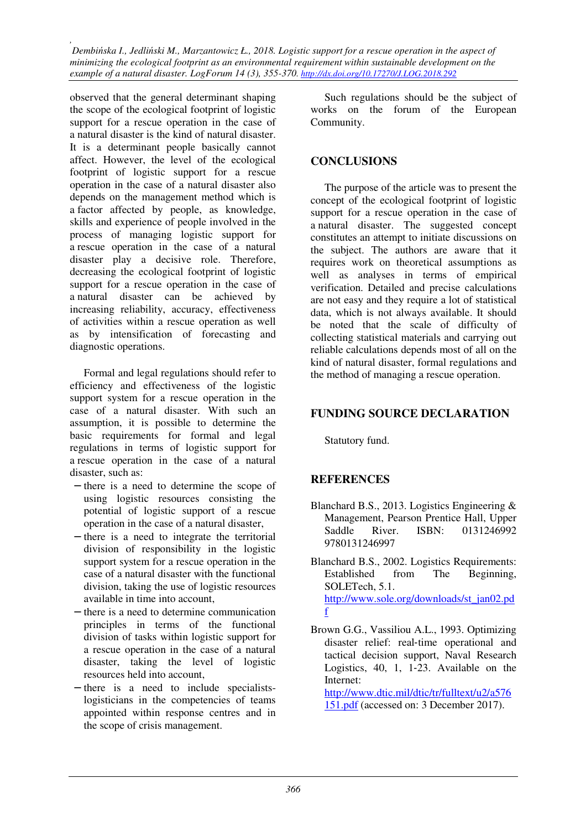observed that the general determinant shaping the scope of the ecological footprint of logistic support for a rescue operation in the case of a natural disaster is the kind of natural disaster. It is a determinant people basically cannot affect. However, the level of the ecological footprint of logistic support for a rescue operation in the case of a natural disaster also depends on the management method which is a factor affected by people, as knowledge, skills and experience of people involved in the process of managing logistic support for a rescue operation in the case of a natural disaster play a decisive role. Therefore, decreasing the ecological footprint of logistic support for a rescue operation in the case of a natural disaster can be achieved by increasing reliability, accuracy, effectiveness of activities within a rescue operation as well as by intensification of forecasting and diagnostic operations.

Formal and legal regulations should refer to efficiency and effectiveness of the logistic support system for a rescue operation in the case of a natural disaster. With such an assumption, it is possible to determine the basic requirements for formal and legal regulations in terms of logistic support for a rescue operation in the case of a natural disaster, such as:

- − there is a need to determine the scope of using logistic resources consisting the potential of logistic support of a rescue operation in the case of a natural disaster,
- − there is a need to integrate the territorial division of responsibility in the logistic support system for a rescue operation in the case of a natural disaster with the functional division, taking the use of logistic resources available in time into account,
- − there is a need to determine communication principles in terms of the functional division of tasks within logistic support for a rescue operation in the case of a natural disaster, taking the level of logistic resources held into account,
- − there is a need to include specialistslogisticians in the competencies of teams appointed within response centres and in the scope of crisis management.

Such regulations should be the subject of works on the forum of the European Community.

#### **CONCLUSIONS**

The purpose of the article was to present the concept of the ecological footprint of logistic support for a rescue operation in the case of a natural disaster. The suggested concept constitutes an attempt to initiate discussions on the subject. The authors are aware that it requires work on theoretical assumptions as well as analyses in terms of empirical verification. Detailed and precise calculations are not easy and they require a lot of statistical data, which is not always available. It should be noted that the scale of difficulty of collecting statistical materials and carrying out reliable calculations depends most of all on the kind of natural disaster, formal regulations and the method of managing a rescue operation.

#### **FUNDING SOURCE DECLARATION**

Statutory fund.

#### **REFERENCES**

- Blanchard B.S., 2013. Logistics Engineering & Management, Pearson Prentice Hall, Upper Saddle River. ISBN: 0131246992 9780131246997
- Blanchard B.S., 2002. Logistics Requirements: Established from The Beginning, SOLETech, 5.1. http://www.sole.org/downloads/st\_jan02.pd f
- Brown G.G., Vassiliou A.L., 1993. Optimizing disaster relief: real‐time operational and tactical decision support, Naval Research Logistics, 40, 1, 1‐23. Available on the Internet: http://www.dtic.mil/dtic/tr/fulltext/u2/a576

151.pdf (accessed on: 3 December 2017).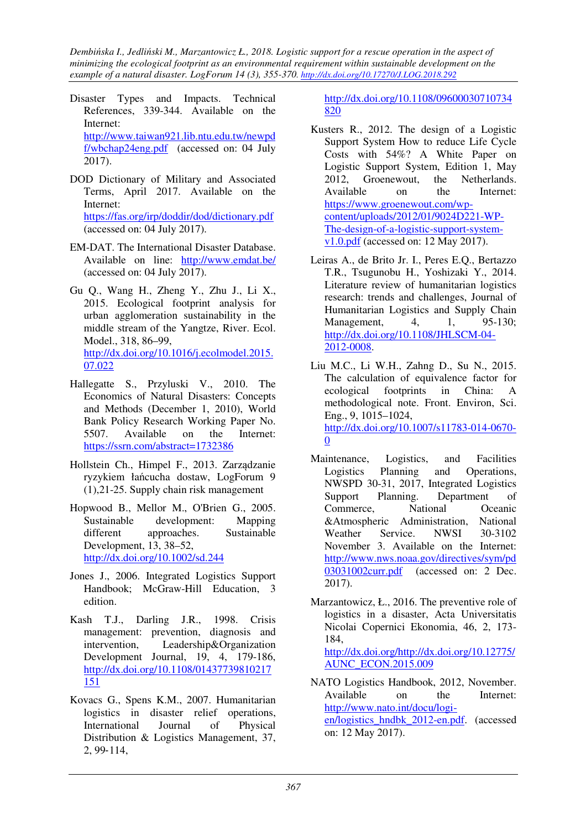- Disaster Types and Impacts. Technical References, 339-344. Available on the Internet: http://www.taiwan921.lib.ntu.edu.tw/newpd f/wbchap24eng.pdf (accessed on: 04 July 2017).
- DOD Dictionary of Military and Associated Terms, April 2017. Available on the Internet: https://fas.org/irp/doddir/dod/dictionary.pdf (accessed on: 04 July 2017).
- EM-DAT. The International Disaster Database. Available on line: http://www.emdat.be/ (accessed on: 04 July 2017).
- Gu Q., Wang H., Zheng Y., Zhu J., Li X., 2015. Ecological footprint analysis for urban agglomeration sustainability in the middle stream of the Yangtze, River. Ecol. Model., 318, 86–99, http://dx.doi.org/10.1016/j.ecolmodel.2015. 07.022
- Hallegatte S., Przyluski V., 2010. The Economics of Natural Disasters: Concepts and Methods (December 1, 2010), World Bank Policy Research Working Paper No. 5507. Available on the Internet: https://ssrn.com/abstract=1732386
- Hollstein Ch., Himpel F., 2013. Zarządzanie ryzykiem łańcucha dostaw, LogForum 9 (1),21-25. Supply chain risk management
- Hopwood B., Mellor M., O'Brien G., 2005. Sustainable development: Mapping different approaches. Sustainable Development, 13, 38–52, http://dx.doi.org/10.1002/sd.244
- Jones J., 2006. Integrated Logistics Support Handbook; McGraw-Hill Education, 3 edition.
- Kash T.J., Darling J.R., 1998. Crisis management: prevention, diagnosis and intervention, Leadership&Organization Development Journal, 19, 4, 179-186, http://dx.doi.org/10.1108/01437739810217 151
- Kovacs G., Spens K.M., 2007. Humanitarian logistics in disaster relief operations, International Journal of Physical Distribution & Logistics Management, 37, 2, 99‐114,

http://dx.doi.org/10.1108/09600030710734 820

- Kusters R., 2012. The design of a Logistic Support System How to reduce Life Cycle Costs with 54%? A White Paper on Logistic Support System, Edition 1, May 2012, Groenewout, the Netherlands. Available on the Internet: https://www.groenewout.com/wpcontent/uploads/2012/01/9024D221-WP-The-design-of-a-logistic-support-systemv1.0.pdf (accessed on: 12 May 2017).
- Leiras A., de Brito Jr. I., Peres E.Q., Bertazzo T.R., Tsugunobu H., Yoshizaki Y., 2014. Literature review of humanitarian logistics research: trends and challenges, Journal of Humanitarian Logistics and Supply Chain Management, 4, 1, 95-130; http://dx.doi.org/10.1108/JHLSCM-04- 2012-0008.
- Liu M.C., Li W.H., Zahng D., Su N., 2015. The calculation of equivalence factor for ecological footprints in China: A methodological note. Front. Environ, Sci. Eng., 9, 1015–1024, http://dx.doi.org/10.1007/s11783-014-0670- 0
- Maintenance, Logistics, and Facilities Logistics Planning and Operations, NWSPD 30-31, 2017, Integrated Logistics Support Planning. Department of Commerce, National Oceanic &Atmospheric Administration, National Weather Service. NWSI 30-3102 November 3. Available on the Internet: http://www.nws.noaa.gov/directives/sym/pd 03031002curr.pdf (accessed on: 2 Dec. 2017).
- Marzantowicz, Ł., 2016. The preventive role of logistics in a disaster, Acta Universitatis Nicolai Copernici Ekonomia, 46, 2, 173- 184, http://dx.doi.org/http://dx.doi.org/10.12775/ AUNC\_ECON.2015.009
- NATO Logistics Handbook, 2012, November. Available on the Internet: http://www.nato.int/docu/logien/logistics\_hndbk\_2012-en.pdf. (accessed on: 12 May 2017).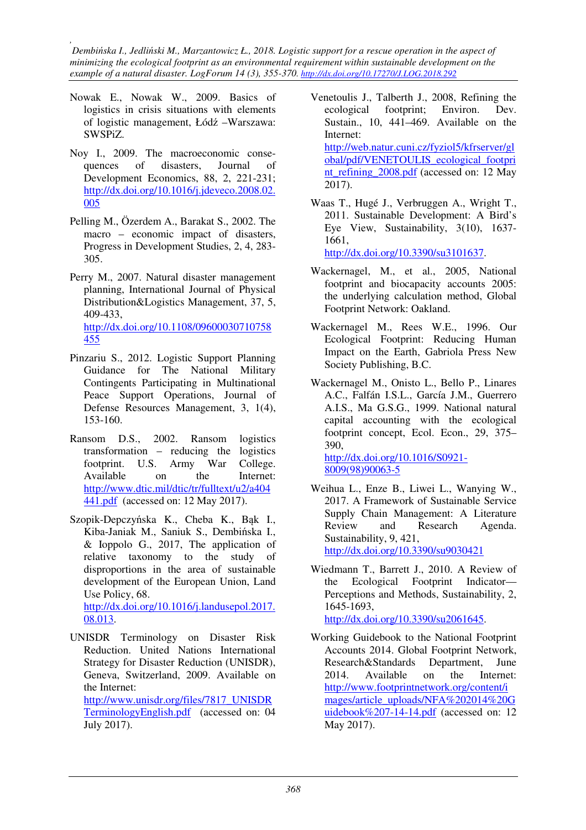- Nowak E., Nowak W., 2009. Basics of logistics in crisis situations with elements of logistic management, Łódź –Warszawa: SWSPiZ.
- Noy I., 2009. The macroeconomic consequences of disasters, Journal of Development Economics, 88, 2, 221-231; http://dx.doi.org/10.1016/j.jdeveco.2008.02. 005
- Pelling M., Özerdem A., Barakat S., 2002. The macro – economic impact of disasters, Progress in Development Studies, 2, 4, 283- 305.
- Perry M., 2007. Natural disaster management planning, International Journal of Physical Distribution&Logistics Management, 37, 5, 409-433, http://dx.doi.org/10.1108/09600030710758 455
- Pinzariu S., 2012. Logistic Support Planning Guidance for The National Military Contingents Participating in Multinational Peace Support Operations, Journal of Defense Resources Management, 3, 1(4), 153-160.
- Ransom D.S., 2002. Ransom logistics transformation – reducing the logistics footprint. U.S. Army War College. Available on the Internet: http://www.dtic.mil/dtic/tr/fulltext/u2/a404 441.pdf (accessed on: 12 May 2017).
- Szopik-Depczyńska K., Cheba K., Bąk I., Kiba-Janiak M., Saniuk S., Dembińska I., & Ioppolo G., 2017, The application of relative taxonomy to the study of disproportions in the area of sustainable development of the European Union, Land Use Policy, 68. http://dx.doi.org/10.1016/j.landusepol.2017. 08.013.
- UNISDR Terminology on Disaster Risk Reduction. United Nations International Strategy for Disaster Reduction (UNISDR), Geneva, Switzerland, 2009. Available on the Internet: http://www.unisdr.org/files/7817\_UNISDR TerminologyEnglish.pdf (accessed on: 04

July 2017).

- Venetoulis J., Talberth J., 2008, Refining the ecological footprint; Environ. Dev. Sustain., 10, 441–469. Available on the Internet: http://web.natur.cuni.cz/fyziol5/kfrserver/gl obal/pdf/VENETOULIS\_ecological\_footpri nt\_refining\_2008.pdf (accessed on: 12 May 2017).
- Waas T., Hugé J., Verbruggen A., Wright T., 2011. Sustainable Development: A Bird's Eye View, Sustainability, 3(10), 1637- 1661,

http://dx.doi.org/10.3390/su3101637.

- Wackernagel, M., et al., 2005, National footprint and biocapacity accounts 2005: the underlying calculation method, Global Footprint Network: Oakland.
- Wackernagel M., Rees W.E., 1996. Our Ecological Footprint: Reducing Human Impact on the Earth, Gabriola Press New Society Publishing, B.C.
- Wackernagel M., Onisto L., Bello P., Linares A.C., Falfán I.S.L., García J.M., Guerrero A.I.S., Ma G.S.G., 1999. National natural capital accounting with the ecological footprint concept, Ecol. Econ., 29, 375– 390, http://dx.doi.org/10.1016/S0921-

8009(98)90063-5

- Weihua L., Enze B., Liwei L., Wanying W., 2017. A Framework of Sustainable Service Supply Chain Management: A Literature Review and Research Agenda. Sustainability, 9, 421, http://dx.doi.org/10.3390/su9030421
- Wiedmann T., Barrett J., 2010. A Review of the Ecological Footprint Indicator— Perceptions and Methods, Sustainability, 2, 1645-1693, http://dx.doi.org/10.3390/su2061645.
- Working Guidebook to the National Footprint Accounts 2014. Global Footprint Network, Research&Standards Department, June 2014. Available on the Internet: http://www.footprintnetwork.org/content/i mages/article\_uploads/NFA%202014%20G uidebook%207-14-14.pdf (accessed on: 12 May 2017).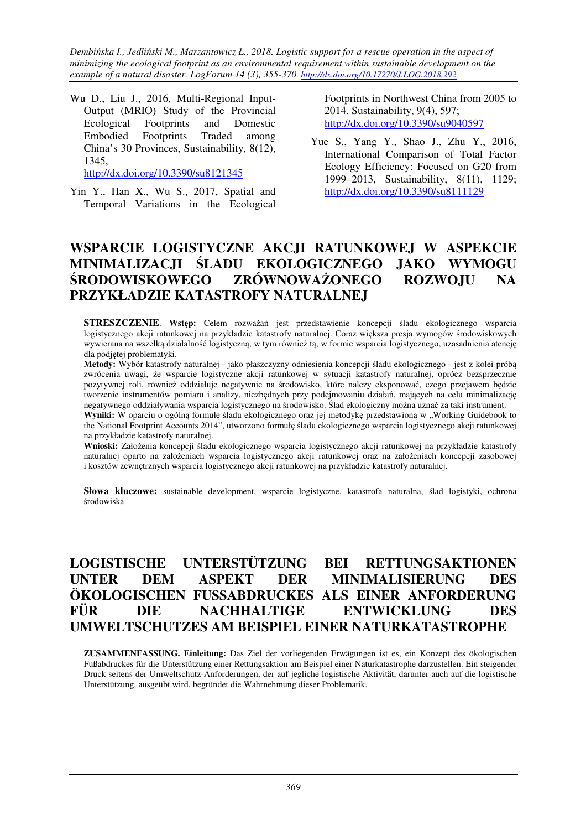Wu D., Liu J., 2016, Multi-Regional Input-Output (MRIO) Study of the Provincial Ecological Footprints and Domestic Embodied Footprints Traded among China's 30 Provinces, Sustainability, 8(12), 1345,

http://dx.doi.org/10.3390/su8121345

Yin Y., Han X., Wu S., 2017, Spatial and Temporal Variations in the Ecological

Footprints in Northwest China from 2005 to 2014. Sustainability, 9(4), 597; http://dx.doi.org/10.3390/su9040597

Yue S., Yang Y., Shao J., Zhu Y., 2016, International Comparison of Total Factor Ecology Efficiency: Focused on G20 from 1999–2013, Sustainability, 8(11), 1129; http://dx.doi.org/10.3390/su8111129

## **WSPARCIE LOGISTYCZNE AKCJI RATUNKOWEJ W ASPEKCIE MINIMALIZACJI ŚLADU EKOLOGICZNEGO JAKO WYMOGU ŚRODOWISKOWEGO ZRÓWNOWAŻONEGO ROZWOJU NA PRZYKŁADZIE KATASTROFY NATURALNEJ**

**STRESZCZENIE**. **Wstęp:** Celem rozważań jest przedstawienie koncepcji śladu ekologicznego wsparcia logistycznego akcji ratunkowej na przykładzie katastrofy naturalnej. Coraz większa presja wymogów środowiskowych wywierana na wszelką działalność logistyczną, w tym również tą, w formie wsparcia logistycznego, uzasadnienia atencję dla podjętej problematyki.

**Metody:** Wybór katastrofy naturalnej - jako płaszczyzny odniesienia koncepcji śladu ekologicznego - jest z kolei próbą zwrócenia uwagi, że wsparcie logistyczne akcji ratunkowej w sytuacji katastrofy naturalnej, oprócz bezsprzecznie pozytywnej roli, również oddziałuje negatywnie na środowisko, które należy eksponować, czego przejawem będzie tworzenie instrumentów pomiaru i analizy, niezbędnych przy podejmowaniu działań, mających na celu minimalizację negatywnego oddziaływania wsparcia logistycznego na środowisko. Ślad ekologiczny można uznać za taki instrument.

Wyniki: W oparciu o ogólną formułę śladu ekologicznego oraz jej metodykę przedstawioną w "Working Guidebook to the National Footprint Accounts 2014", utworzono formułę śladu ekologicznego wsparcia logistycznego akcji ratunkowej na przykładzie katastrofy naturalnej.

**Wnioski:** Założenia koncepcji śladu ekologicznego wsparcia logistycznego akcji ratunkowej na przykładzie katastrofy naturalnej oparto na założeniach wsparcia logistycznego akcji ratunkowej oraz na założeniach koncepcji zasobowej i kosztów zewnętrznych wsparcia logistycznego akcji ratunkowej na przykładzie katastrofy naturalnej.

**Słowa kluczowe:** sustainable development, wsparcie logistyczne, katastrofa naturalna, ślad logistyki, ochrona środowiska

# **LOGISTISCHE UNTERSTÜTZUNG BEI RETTUNGSAKTIONEN UNTER DEM ASPEKT DER MINIMALISIERUNG DES ÖKOLOGISCHEN FUSSABDRUCKES ALS EINER ANFORDERUNG FÜR DIE NACHHALTIGE ENTWICKLUNG DES UMWELTSCHUTZES AM BEISPIEL EINER NATURKATASTROPHE**

**ZUSAMMENFASSUNG. Einleitung:** Das Ziel der vorliegenden Erwägungen ist es, ein Konzept des ökologischen Fußabdruckes für die Unterstützung einer Rettungsaktion am Beispiel einer Naturkatastrophe darzustellen. Ein steigender Druck seitens der Umweltschutz-Anforderungen, der auf jegliche logistische Aktivität, darunter auch auf die logistische Unterstützung, ausgeübt wird, begründet die Wahrnehmung dieser Problematik.